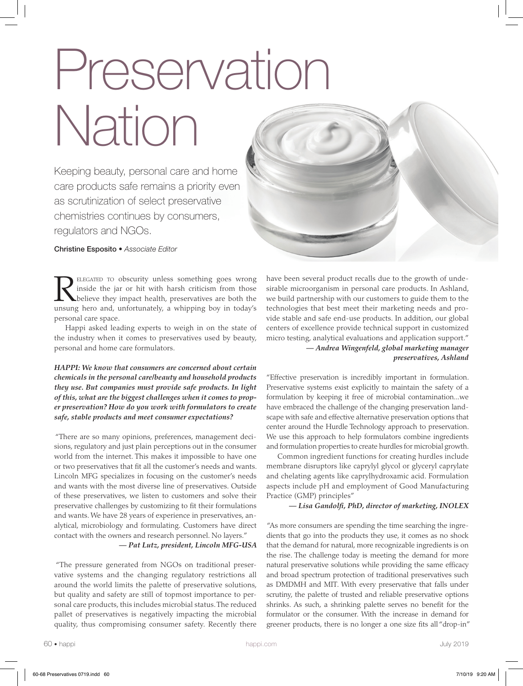# Preservation Nation

Keeping beauty, personal care and home care products safe remains a priority even as scrutinization of select preservative chemistries continues by consumers, regulators and NGOs.

Christine Esposito • *Associate Editor*

ELEGATED TO obscurity unless something goes wrong inside the jar or hit with harsh criticism from those believe they impact health, preservatives are both the unsung hero and, unfortunately, a whipping boy in today's personal care space.

Happi asked leading experts to weigh in on the state of the industry when it comes to preservatives used by beauty, personal and home care formulators.

*HAPPI: We know that consumers are concerned about certain chemicals in the personal care/beauty and household products they use. But companies must provide safe products. In light of this, what are the biggest challenges when it comes to proper preservation? How do you work with formulators to create safe, stable products and meet consumer expectations?* 

 "There are so many opinions, preferences, management decisions, regulatory and just plain perceptions out in the consumer world from the internet. This makes it impossible to have one or two preservatives that fit all the customer's needs and wants. Lincoln MFG specializes in focusing on the customer's needs and wants with the most diverse line of preservatives. Outside of these preservatives, we listen to customers and solve their preservative challenges by customizing to fit their formulations and wants. We have 28 years of experience in preservatives, analytical, microbiology and formulating. Customers have direct contact with the owners and research personnel. No layers."

*— Pat Lutz, president, Lincoln MFG-USA*

 "The pressure generated from NGOs on traditional preservative systems and the changing regulatory restrictions all around the world limits the palette of preservative solutions, but quality and safety are still of topmost importance to personal care products, this includes microbial status. The reduced pallet of preservatives is negatively impacting the microbial quality, thus compromising consumer safety. Recently there



have been several product recalls due to the growth of undesirable microorganism in personal care products. In Ashland, we build partnership with our customers to guide them to the technologies that best meet their marketing needs and provide stable and safe end-use products. In addition, our global centers of excellence provide technical support in customized micro testing, analytical evaluations and application support." *— Andrea Wingenfeld, global marketing manager preservatives, Ashland*

"Effective preservation is incredibly important in formulation. Preservative systems exist explicitly to maintain the safety of a formulation by keeping it free of microbial contamination...we have embraced the challenge of the changing preservation landscape with safe and effective alternative preservation options that center around the Hurdle Technology approach to preservation. We use this approach to help formulators combine ingredients and formulation properties to create hurdles for microbial growth.

Common ingredient functions for creating hurdles include membrane disruptors like caprylyl glycol or glyceryl caprylate and chelating agents like caprylhydroxamic acid. Formulation aspects include pH and employment of Good Manufacturing Practice (GMP) principles"

*— Lisa Gandolfi, PhD, director of marketing, INOLEX*

 "As more consumers are spending the time searching the ingredients that go into the products they use, it comes as no shock that the demand for natural, more recognizable ingredients is on the rise. The challenge today is meeting the demand for more natural preservative solutions while providing the same efficacy and broad spectrum protection of traditional preservatives such as DMDMH and MIT. With every preservative that falls under scrutiny, the palette of trusted and reliable preservative options shrinks. As such, a shrinking palette serves no benefit for the formulator or the consumer. With the increase in demand for greener products, there is no longer a one size fits all "drop-in"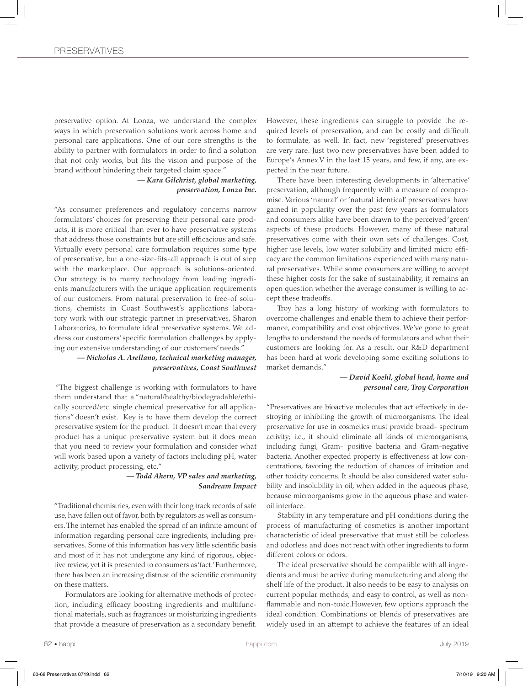preservative option. At Lonza, we understand the complex ways in which preservation solutions work across home and personal care applications. One of our core strengths is the ability to partner with formulators in order to find a solution that not only works, but fits the vision and purpose of the brand without hindering their targeted claim space."

> *— Kara Gilchrist, global marketing, preservation, Lonza Inc.*

"As consumer preferences and regulatory concerns narrow formulators' choices for preserving their personal care products, it is more critical than ever to have preservative systems that address those constraints but are still efficacious and safe. Virtually every personal care formulation requires some type of preservative, but a one-size-fits-all approach is out of step with the marketplace. Our approach is solutions-oriented. Our strategy is to marry technology from leading ingredients manufacturers with the unique application requirements of our customers. From natural preservation to free-of solutions, chemists in Coast Southwest's applications laboratory work with our strategic partner in preservatives, Sharon Laboratories, to formulate ideal preservative systems. We address our customers' specific formulation challenges by applying our extensive understanding of our customers' needs."

> *— Nicholas A. Arellano, technical marketing manager, preservatives, Coast Southwest*

 "The biggest challenge is working with formulators to have them understand that a "natural/healthy/biodegradable/ethically sourced/etc. single chemical preservative for all applications" doesn't exist. Key is to have them develop the correct preservative system for the product. It doesn't mean that every product has a unique preservative system but it does mean that you need to review your formulation and consider what will work based upon a variety of factors including pH, water activity, product processing, etc."

> *— Todd Ahern, VP sales and marketing, Sandream Impact*

"Traditional chemistries, even with their long track records of safe use, have fallen out of favor, both by regulators as well as consumers. The internet has enabled the spread of an infinite amount of information regarding personal care ingredients, including preservatives. Some of this information has very little scientific basis and most of it has not undergone any kind of rigorous, objective review, yet it is presented to consumers as 'fact.' Furthermore, there has been an increasing distrust of the scientific community on these matters.

Formulators are looking for alternative methods of protection, including efficacy boosting ingredients and multifunctional materials, such as fragrances or moisturizing ingredients that provide a measure of preservation as a secondary benefit. However, these ingredients can struggle to provide the required levels of preservation, and can be costly and difficult to formulate, as well. In fact, new 'registered' preservatives are very rare. Just two new preservatives have been added to Europe's Annex V in the last 15 years, and few, if any, are expected in the near future.

There have been interesting developments in 'alternative' preservation, although frequently with a measure of compromise. Various 'natural' or 'natural identical' preservatives have gained in popularity over the past few years as formulators and consumers alike have been drawn to the perceived 'green' aspects of these products. However, many of these natural preservatives come with their own sets of challenges. Cost, higher use levels, low water solubility and limited micro efficacy are the common limitations experienced with many natural preservatives. While some consumers are willing to accept these higher costs for the sake of sustainability, it remains an open question whether the average consumer is willing to accept these tradeoffs.

Troy has a long history of working with formulators to overcome challenges and enable them to achieve their performance, compatibility and cost objectives. We've gone to great lengths to understand the needs of formulators and what their customers are looking for. As a result, our R&D department has been hard at work developing some exciting solutions to market demands."

## *— David Koehl, global head, home and personal care, Troy Corporation*

"Preservatives are bioactive molecules that act effectively in destroying or inhibiting the growth of microorganisms. The ideal preservative for use in cosmetics must provide broad- spectrum activity; i.e., it should eliminate all kinds of microorganisms, including fungi, Gram- positive bacteria and Gram-negative bacteria. Another expected property is effectiveness at low concentrations, favoring the reduction of chances of irritation and other toxicity concerns. It should be also considered water solubility and insolubility in oil, when added in the aqueous phase, because microorganisms grow in the aqueous phase and wateroil interface.

Stability in any temperature and pH conditions during the process of manufacturing of cosmetics is another important characteristic of ideal preservative that must still be colorless and odorless and does not react with other ingredients to form different colors or odors.

The ideal preservative should be compatible with all ingredients and must be active during manufacturing and along the shelf life of the product. It also needs to be easy to analysis on current popular methods; and easy to control, as well as nonflammable and non-toxic.However, few options approach the ideal condition. Combinations or blends of preservatives are widely used in an attempt to achieve the features of an ideal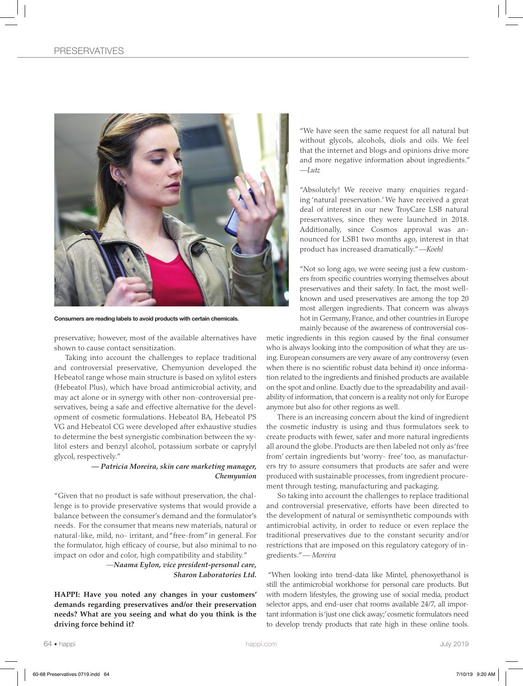

Consumers are reading labels to avoid products with certain chemicals.

preservative; however, most of the available alternatives have shown to cause contact sensitization.

Taking into account the challenges to replace traditional and controversial preservative, Chemyunion developed the Hebeatol range whose main structure is based on xylitol esters (Hebeatol Plus), which have broad antimicrobial activity, and may act alone or in synergy with other non-controversial preservatives, being a safe and effective alternative for the development of cosmetic formulations. Hebeatol BA, Hebeatol PS VG and Hebeatol CG were developed after exhaustive studies to determine the best synergistic combination between the xylitol esters and benzyl alcohol, potassium sorbate or caprylyl glycol, respectively."

### *— Patricia Moreira, skin care marketing manager, Chemyunion*

"Given that no product is safe without preservation, the challenge is to provide preservative systems that would provide a balance between the consumer's demand and the formulator's needs. For the consumer that means new materials, natural or natural-like, mild, no- irritant, and "free-from" in general. For the formulator, high efficacy of course, but also minimal to no impact on odor and color, high compatibility and stability."

> *—Naama Eylon, vice president-personal care, Sharon Laboratories Ltd.*

**HAPPI: Have you noted any changes in your customers' demands regarding preservatives and/or their preservation needs? What are you seeing and what do you think is the driving force behind it?**

"We have seen the same request for all natural but without glycols, alcohols, diols and oils. We feel that the internet and blogs and opinions drive more and more negative information about ingredients." *—Lutz* 

"Absolutely! We receive many enquiries regarding 'natural preservation.' We have received a great deal of interest in our new TroyCare LSB natural preservatives, since they were launched in 2018. Additionally, since Cosmos approval was announced for LSB1 two months ago, interest in that product has increased dramatically." *—Koehl*

"Not so long ago, we were seeing just a few customers from specific countries worrying themselves about preservatives and their safety. In fact, the most wellknown and used preservatives are among the top 20 most allergen ingredients. That concern was always hot in Germany, France, and other countries in Europe mainly because of the awareness of controversial cos-

metic ingredients in this region caused by the final consumer who is always looking into the composition of what they are using. European consumers are very aware of any controversy (even when there is no scientific robust data behind it) once information related to the ingredients and finished products are available on the spot and online. Exactly due to the spreadability and availability of information, that concern is a reality not only for Europe anymore but also for other regions as well.

There is an increasing concern about the kind of ingredient the cosmetic industry is using and thus formulators seek to create products with fewer, safer and more natural ingredients all around the globe. Products are then labeled not only as 'free from' certain ingredients but 'worry- free' too, as manufacturers try to assure consumers that products are safer and were produced with sustainable processes, from ingredient procurement through testing, manufacturing and packaging.

So taking into account the challenges to replace traditional and controversial preservative, efforts have been directed to the development of natural or semisynthetic compounds with antimicrobial activity, in order to reduce or even replace the traditional preservatives due to the constant security and/or restrictions that are imposed on this regulatory category of ingredients." *— Moreira*

 "When looking into trend-data like Mintel, phenoxyethanol is still the antimicrobial workhorse for personal care products. But with modern lifestyles, the growing use of social media, product selector apps, and end-user chat rooms available 24/7, all important information is 'just one click away;' cosmetic formulators need to develop trendy products that rate high in these online tools.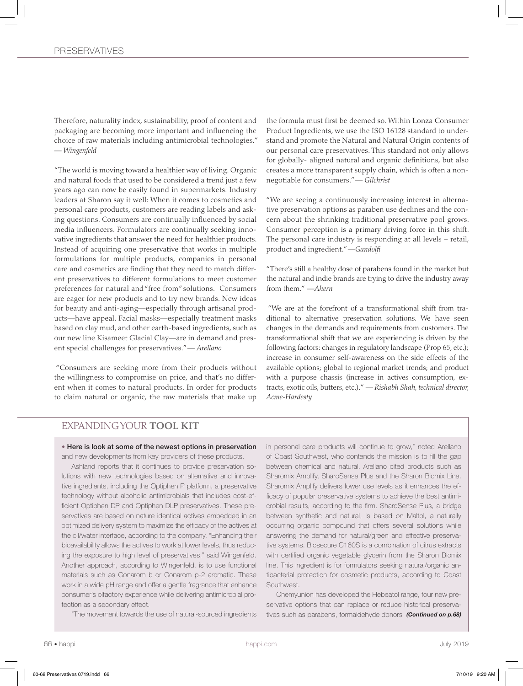Therefore, naturality index, sustainability, proof of content and packaging are becoming more important and influencing the choice of raw materials including antimicrobial technologies." *— Wingenfeld* 

 "The world is moving toward a healthier way of living. Organic and natural foods that used to be considered a trend just a few years ago can now be easily found in supermarkets. Industry leaders at Sharon say it well: When it comes to cosmetics and personal care products, customers are reading labels and asking questions. Consumers are continually influenced by social media influencers. Formulators are continually seeking innovative ingredients that answer the need for healthier products. Instead of acquiring one preservative that works in multiple formulations for multiple products, companies in personal care and cosmetics are finding that they need to match different preservatives to different formulations to meet customer preferences for natural and "free from" solutions. Consumers are eager for new products and to try new brands. New ideas for beauty and anti-aging—especially through artisanal products—have appeal. Facial masks—especially treatment masks based on clay mud, and other earth-based ingredients, such as our new line Kisameet Glacial Clay—are in demand and present special challenges for preservatives." *— Arellano* 

 "Consumers are seeking more from their products without the willingness to compromise on price, and that's no different when it comes to natural products. In order for products to claim natural or organic, the raw materials that make up

the formula must first be deemed so. Within Lonza Consumer Product Ingredients, we use the ISO 16128 standard to understand and promote the Natural and Natural Origin contents of our personal care preservatives. This standard not only allows for globally- aligned natural and organic definitions, but also creates a more transparent supply chain, which is often a nonnegotiable for consumers." *— Gilchrist*

"We are seeing a continuously increasing interest in alternative preservation options as paraben use declines and the concern about the shrinking traditional preservative pool grows. Consumer perception is a primary driving force in this shift. The personal care industry is responding at all levels – retail, product and ingredient." *—Gandolfi*

"There's still a healthy dose of parabens found in the market but the natural and indie brands are trying to drive the industry away from them." *—Ahern*

 "We are at the forefront of a transformational shift from traditional to alternative preservation solutions. We have seen changes in the demands and requirements from customers. The transformational shift that we are experiencing is driven by the following factors: changes in regulatory landscape (Prop 65, etc.); increase in consumer self-awareness on the side effects of the available options; global to regional market trends; and product with a purpose chassis (increase in actives consumption, extracts, exotic oils, butters, etc.)." *— Rishabh Shah, technical director, Acme-Hardesty*

# EXPANDING YOUR **TOOL KIT**

• Here is look at some of the newest options in preservation and new developments from key providers of these products.

Ashland reports that it continues to provide preservation solutions with new technologies based on alternative and innovative ingredients, including the Optiphen P platform, a preservative technology without alcoholic antimicrobials that includes cost-efficient Optiphen DP and Optiphen DLP preservatives. These preservatives are based on nature identical actives embedded in an optimized delivery system to maximize the efficacy of the actives at the oil/water interface, according to the company. "Enhancing their bioavailability allows the actives to work at lower levels, thus reducing the exposure to high level of preservatives," said Wingenfeld. Another approach, according to Wingenfeld, is to use functional materials such as Conarom b or Conarom p-2 aromatic. These work in a wide pH range and offer a gentle fragrance that enhance consumer's olfactory experience while delivering antimicrobial protection as a secondary effect.

"The movement towards the use of natural-sourced ingredients

in personal care products will continue to grow," noted Arellano of Coast Southwest, who contends the mission is to fill the gap between chemical and natural. Arellano cited products such as Sharomix Amplify, SharoSense Plus and the Sharon Biomix Line. Sharomix Amplify delivers lower use levels as it enhances the efficacy of popular preservative systems to achieve the best antimicrobial results, according to the firm. SharoSense Plus, a bridge between synthetic and natural, is based on Maltol, a naturally occurring organic compound that offers several solutions while answering the demand for natural/green and effective preservative systems. Biosecure C160S is a combination of citrus extracts with certified organic vegetable glycerin from the Sharon Biomix line. This ingredient is for formulators seeking natural/organic antibacterial protection for cosmetic products, according to Coast Southwest.

Chemyunion has developed the Hebeatol range, four new preservative options that can replace or reduce historical preservatives such as parabens, formaldehyde donors *(Continued on p.68)*